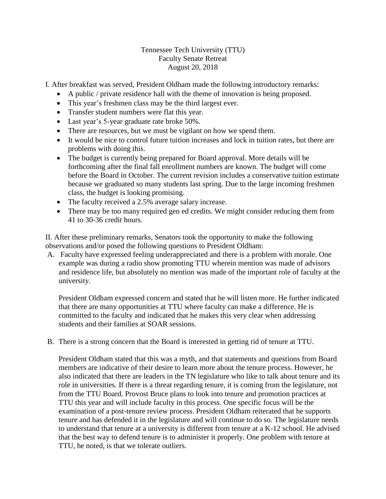Tennessee Tech University (TTU) Faculty Senate Retreat August 20, 2018

I. After breakfast was served, President Oldham made the following introductory remarks:

- A public / private residence hall with the theme of innovation is being proposed.
- This year's freshmen class may be the third largest ever.
- Transfer student numbers were flat this year.
- Last year's 5-year graduate rate broke 50%.
- There are resources, but we must be vigilant on how we spend them.
- It would be nice to control future tuition increases and lock in tuition rates, but there are problems with doing this.
- The budget is currently being prepared for Board approval. More details will be forthcoming after the final fall enrollment numbers are known. The budget will come before the Board in October. The current revision includes a conservative tuition estimate because we graduated so many students last spring. Due to the large incoming freshmen class, the budget is looking promising.
- The faculty received a 2.5% average salary increase.
- There may be too many required gen ed credits. We might consider reducing them from 41 to 30-36 credit hours.

II. After these preliminary remarks, Senators took the opportunity to make the following observations and/or posed the following questions to President Oldham:

A. Faculty have expressed feeling underappreciated and there is a problem with morale. One example was during a radio show promoting TTU wherein mention was made of advisors and residence life, but absolutely no mention was made of the important role of faculty at the university.

President Oldham expressed concern and stated that he will listen more. He further indicated that there are many opportunities at TTU where faculty can make a difference. He is committed to the faculty and indicated that he makes this very clear when addressing students and their families at SOAR sessions.

B. There is a strong concern that the Board is interested in getting rid of tenure at TTU.

President Oldham stated that this was a myth, and that statements and questions from Board members are indicative of their desire to learn more about the tenure process. However, he also indicated that there are leaders in the TN legislature who like to talk about tenure and its role in universities. If there is a threat regarding tenure, it is coming from the legislature, not from the TTU Board. Provost Bruce plans to look into tenure and promotion practices at TTU this year and will include faculty in this process. One specific focus will be the examination of a post-tenure review process. President Oldham reiterated that he supports tenure and has defended it in the legislature and will continue to do so. The legislature needs to understand that tenure at a university is different from tenure at a K-12 school. He advised that the best way to defend tenure is to administer it properly. One problem with tenure at TTU, he noted, is that we tolerate outliers.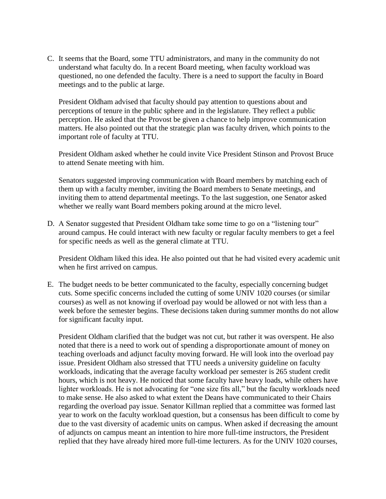C. It seems that the Board, some TTU administrators, and many in the community do not understand what faculty do. In a recent Board meeting, when faculty workload was questioned, no one defended the faculty. There is a need to support the faculty in Board meetings and to the public at large.

President Oldham advised that faculty should pay attention to questions about and perceptions of tenure in the public sphere and in the legislature. They reflect a public perception. He asked that the Provost be given a chance to help improve communication matters. He also pointed out that the strategic plan was faculty driven, which points to the important role of faculty at TTU.

President Oldham asked whether he could invite Vice President Stinson and Provost Bruce to attend Senate meeting with him.

Senators suggested improving communication with Board members by matching each of them up with a faculty member, inviting the Board members to Senate meetings, and inviting them to attend departmental meetings. To the last suggestion, one Senator asked whether we really want Board members poking around at the micro level.

D. A Senator suggested that President Oldham take some time to go on a "listening tour" around campus. He could interact with new faculty or regular faculty members to get a feel for specific needs as well as the general climate at TTU.

President Oldham liked this idea. He also pointed out that he had visited every academic unit when he first arrived on campus.

E. The budget needs to be better communicated to the faculty, especially concerning budget cuts. Some specific concerns included the cutting of some UNIV 1020 courses (or similar courses) as well as not knowing if overload pay would be allowed or not with less than a week before the semester begins. These decisions taken during summer months do not allow for significant faculty input.

President Oldham clarified that the budget was not cut, but rather it was overspent. He also noted that there is a need to work out of spending a disproportionate amount of money on teaching overloads and adjunct faculty moving forward. He will look into the overload pay issue. President Oldham also stressed that TTU needs a university guideline on faculty workloads, indicating that the average faculty workload per semester is 265 student credit hours, which is not heavy. He noticed that some faculty have heavy loads, while others have lighter workloads. He is not advocating for "one size fits all," but the faculty workloads need to make sense. He also asked to what extent the Deans have communicated to their Chairs regarding the overload pay issue. Senator Killman replied that a committee was formed last year to work on the faculty workload question, but a consensus has been difficult to come by due to the vast diversity of academic units on campus. When asked if decreasing the amount of adjuncts on campus meant an intention to hire more full-time instructors, the President replied that they have already hired more full-time lecturers. As for the UNIV 1020 courses,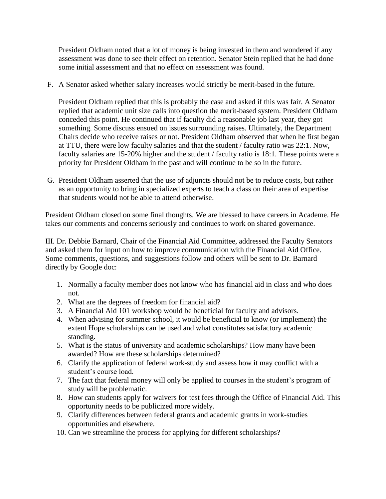President Oldham noted that a lot of money is being invested in them and wondered if any assessment was done to see their effect on retention. Senator Stein replied that he had done some initial assessment and that no effect on assessment was found.

F. A Senator asked whether salary increases would strictly be merit-based in the future.

President Oldham replied that this is probably the case and asked if this was fair. A Senator replied that academic unit size calls into question the merit-based system. President Oldham conceded this point. He continued that if faculty did a reasonable job last year, they got something. Some discuss ensued on issues surrounding raises. Ultimately, the Department Chairs decide who receive raises or not. President Oldham observed that when he first began at TTU, there were low faculty salaries and that the student / faculty ratio was 22:1. Now, faculty salaries are 15-20% higher and the student / faculty ratio is 18:1. These points were a priority for President Oldham in the past and will continue to be so in the future.

G. President Oldham asserted that the use of adjuncts should not be to reduce costs, but rather as an opportunity to bring in specialized experts to teach a class on their area of expertise that students would not be able to attend otherwise.

President Oldham closed on some final thoughts. We are blessed to have careers in Academe. He takes our comments and concerns seriously and continues to work on shared governance.

III. Dr. Debbie Barnard, Chair of the Financial Aid Committee, addressed the Faculty Senators and asked them for input on how to improve communication with the Financial Aid Office. Some comments, questions, and suggestions follow and others will be sent to Dr. Barnard directly by Google doc:

- 1. Normally a faculty member does not know who has financial aid in class and who does not.
- 2. What are the degrees of freedom for financial aid?
- 3. A Financial Aid 101 workshop would be beneficial for faculty and advisors.
- 4. When advising for summer school, it would be beneficial to know (or implement) the extent Hope scholarships can be used and what constitutes satisfactory academic standing.
- 5. What is the status of university and academic scholarships? How many have been awarded? How are these scholarships determined?
- 6. Clarify the application of federal work-study and assess how it may conflict with a student's course load.
- 7. The fact that federal money will only be applied to courses in the student's program of study will be problematic.
- 8. How can students apply for waivers for test fees through the Office of Financial Aid. This opportunity needs to be publicized more widely.
- 9. Clarify differences between federal grants and academic grants in work-studies opportunities and elsewhere.
- 10. Can we streamline the process for applying for different scholarships?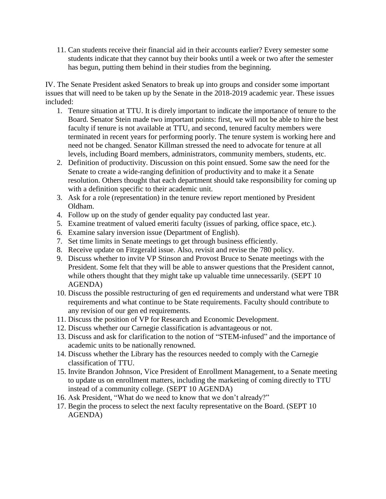11. Can students receive their financial aid in their accounts earlier? Every semester some students indicate that they cannot buy their books until a week or two after the semester has begun, putting them behind in their studies from the beginning.

IV. The Senate President asked Senators to break up into groups and consider some important issues that will need to be taken up by the Senate in the 2018-2019 academic year. These issues included:

- 1. Tenure situation at TTU. It is direly important to indicate the importance of tenure to the Board. Senator Stein made two important points: first, we will not be able to hire the best faculty if tenure is not available at TTU, and second, tenured faculty members were terminated in recent years for performing poorly. The tenure system is working here and need not be changed. Senator Killman stressed the need to advocate for tenure at all levels, including Board members, administrators, community members, students, etc.
- 2. Definition of productivity. Discussion on this point ensued. Some saw the need for the Senate to create a wide-ranging definition of productivity and to make it a Senate resolution. Others thought that each department should take responsibility for coming up with a definition specific to their academic unit.
- 3. Ask for a role (representation) in the tenure review report mentioned by President Oldham.
- 4. Follow up on the study of gender equality pay conducted last year.
- 5. Examine treatment of valued emeriti faculty (issues of parking, office space, etc.).
- 6. Examine salary inversion issue (Department of English).
- 7. Set time limits in Senate meetings to get through business efficiently.
- 8. Receive update on Fitzgerald issue. Also, revisit and revise the 780 policy.
- 9. Discuss whether to invite VP Stinson and Provost Bruce to Senate meetings with the President. Some felt that they will be able to answer questions that the President cannot, while others thought that they might take up valuable time unnecessarily. (SEPT 10 AGENDA)
- 10. Discuss the possible restructuring of gen ed requirements and understand what were TBR requirements and what continue to be State requirements. Faculty should contribute to any revision of our gen ed requirements.
- 11. Discuss the position of VP for Research and Economic Development.
- 12. Discuss whether our Carnegie classification is advantageous or not.
- 13. Discuss and ask for clarification to the notion of "STEM-infused" and the importance of academic units to be nationally renowned.
- 14. Discuss whether the Library has the resources needed to comply with the Carnegie classification of TTU.
- 15. Invite Brandon Johnson, Vice President of Enrollment Management, to a Senate meeting to update us on enrollment matters, including the marketing of coming directly to TTU instead of a community college. (SEPT 10 AGENDA)
- 16. Ask President, "What do we need to know that we don't already?"
- 17. Begin the process to select the next faculty representative on the Board. (SEPT 10 AGENDA)